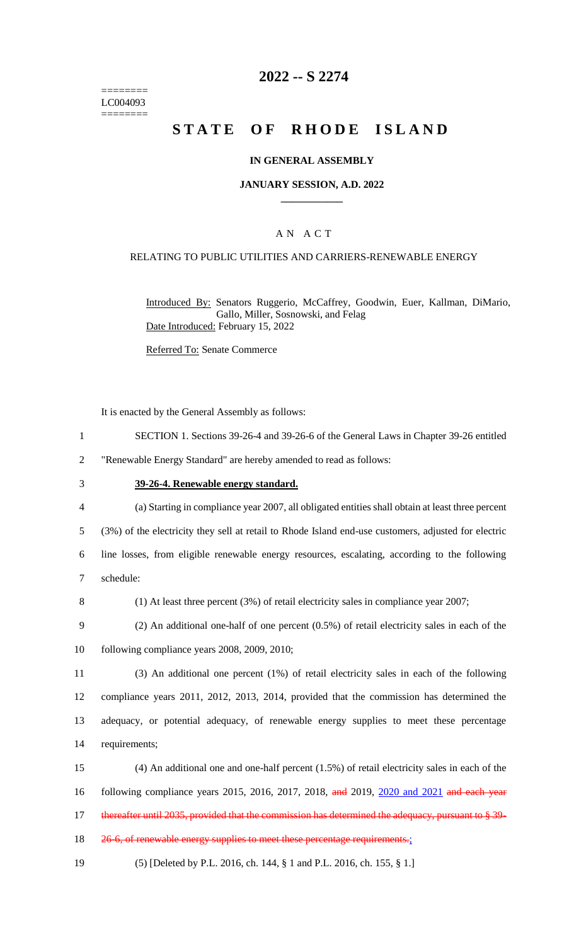======== LC004093 ========

## **2022 -- S 2274**

# **STATE OF RHODE ISLAND**

### **IN GENERAL ASSEMBLY**

#### **JANUARY SESSION, A.D. 2022 \_\_\_\_\_\_\_\_\_\_\_\_**

### A N A C T

### RELATING TO PUBLIC UTILITIES AND CARRIERS-RENEWABLE ENERGY

Introduced By: Senators Ruggerio, McCaffrey, Goodwin, Euer, Kallman, DiMario, Gallo, Miller, Sosnowski, and Felag Date Introduced: February 15, 2022

Referred To: Senate Commerce

It is enacted by the General Assembly as follows:

1 SECTION 1. Sections 39-26-4 and 39-26-6 of the General Laws in Chapter 39-26 entitled

2 "Renewable Energy Standard" are hereby amended to read as follows:

#### 3 **39-26-4. Renewable energy standard.**

4 (a) Starting in compliance year 2007, all obligated entities shall obtain at least three percent

5 (3%) of the electricity they sell at retail to Rhode Island end-use customers, adjusted for electric

6 line losses, from eligible renewable energy resources, escalating, according to the following 7 schedule:

8 (1) At least three percent (3%) of retail electricity sales in compliance year 2007;

9 (2) An additional one-half of one percent (0.5%) of retail electricity sales in each of the 10 following compliance years 2008, 2009, 2010;

 (3) An additional one percent (1%) of retail electricity sales in each of the following compliance years 2011, 2012, 2013, 2014, provided that the commission has determined the adequacy, or potential adequacy, of renewable energy supplies to meet these percentage requirements;

15 (4) An additional one and one-half percent (1.5%) of retail electricity sales in each of the 16 following compliance years 2015, 2016, 2017, 2018, and 2019, 2020 and 2021 and each year 17 thereafter until 2035, provided that the commission has determined the adequacy, pursuant to § 39-

18 26-6, of renewable energy supplies to meet these percentage requirements.;

19 (5) [Deleted by P.L. 2016, ch. 144, § 1 and P.L. 2016, ch. 155, § 1.]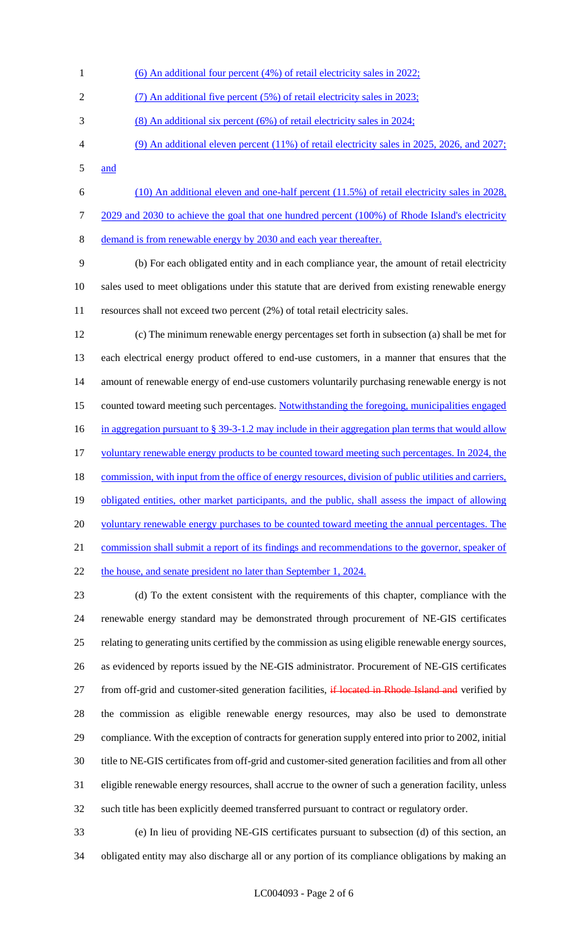- (6) An additional four percent (4%) of retail electricity sales in 2022; (7) An additional five percent (5%) of retail electricity sales in 2023; (8) An additional six percent (6%) of retail electricity sales in 2024; (9) An additional eleven percent (11%) of retail electricity sales in 2025, 2026, and 2027; and
- (10) An additional eleven and one-half percent (11.5%) of retail electricity sales in 2028, 7 2029 and 2030 to achieve the goal that one hundred percent (100%) of Rhode Island's electricity

demand is from renewable energy by 2030 and each year thereafter.

 (b) For each obligated entity and in each compliance year, the amount of retail electricity sales used to meet obligations under this statute that are derived from existing renewable energy resources shall not exceed two percent (2%) of total retail electricity sales.

 (c) The minimum renewable energy percentages set forth in subsection (a) shall be met for each electrical energy product offered to end-use customers, in a manner that ensures that the amount of renewable energy of end-use customers voluntarily purchasing renewable energy is not counted toward meeting such percentages. Notwithstanding the foregoing, municipalities engaged 16 in aggregation pursuant to § 39-3-1.2 may include in their aggregation plan terms that would allow 17 voluntary renewable energy products to be counted toward meeting such percentages. In 2024, the 18 commission, with input from the office of energy resources, division of public utilities and carriers, 19 obligated entities, other market participants, and the public, shall assess the impact of allowing 20 voluntary renewable energy purchases to be counted toward meeting the annual percentages. The commission shall submit a report of its findings and recommendations to the governor, speaker of 22 the house, and senate president no later than September 1, 2024.

 (d) To the extent consistent with the requirements of this chapter, compliance with the renewable energy standard may be demonstrated through procurement of NE-GIS certificates relating to generating units certified by the commission as using eligible renewable energy sources, as evidenced by reports issued by the NE-GIS administrator. Procurement of NE-GIS certificates 27 from off-grid and customer-sited generation facilities, if located in Rhode Island and verified by the commission as eligible renewable energy resources, may also be used to demonstrate compliance. With the exception of contracts for generation supply entered into prior to 2002, initial title to NE-GIS certificates from off-grid and customer-sited generation facilities and from all other eligible renewable energy resources, shall accrue to the owner of such a generation facility, unless such title has been explicitly deemed transferred pursuant to contract or regulatory order.

 (e) In lieu of providing NE-GIS certificates pursuant to subsection (d) of this section, an obligated entity may also discharge all or any portion of its compliance obligations by making an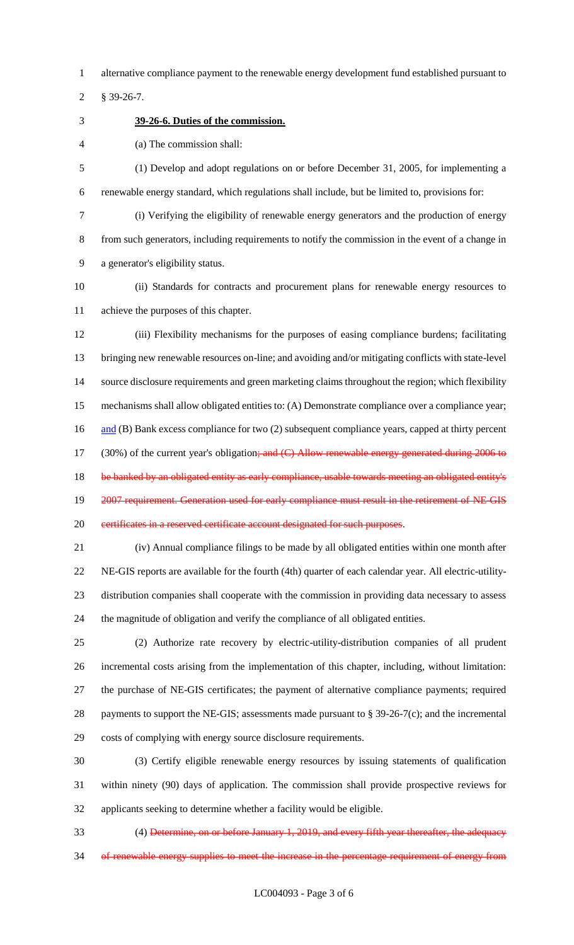alternative compliance payment to the renewable energy development fund established pursuant to

§ 39-26-7.

**39-26-6. Duties of the commission.**

(a) The commission shall:

 (1) Develop and adopt regulations on or before December 31, 2005, for implementing a renewable energy standard, which regulations shall include, but be limited to, provisions for:

 (i) Verifying the eligibility of renewable energy generators and the production of energy from such generators, including requirements to notify the commission in the event of a change in a generator's eligibility status.

 (ii) Standards for contracts and procurement plans for renewable energy resources to achieve the purposes of this chapter.

 (iii) Flexibility mechanisms for the purposes of easing compliance burdens; facilitating bringing new renewable resources on-line; and avoiding and/or mitigating conflicts with state-level source disclosure requirements and green marketing claims throughout the region; which flexibility mechanisms shall allow obligated entities to: (A) Demonstrate compliance over a compliance year; 16 and (B) Bank excess compliance for two (2) subsequent compliance years, capped at thirty percent 17 (30%) of the current year's obligation; and (C) Allow renewable energy generated during 2006 to 18 be banked by an obligated entity as early compliance, usable towards meeting an obligated entity's 19 2007 requirement. Generation used for early compliance must result in the retirement of NE-GIS 20 certificates in a reserved certificate account designated for such purposes.

 (iv) Annual compliance filings to be made by all obligated entities within one month after NE-GIS reports are available for the fourth (4th) quarter of each calendar year. All electric-utility- distribution companies shall cooperate with the commission in providing data necessary to assess the magnitude of obligation and verify the compliance of all obligated entities.

 (2) Authorize rate recovery by electric-utility-distribution companies of all prudent incremental costs arising from the implementation of this chapter, including, without limitation: the purchase of NE-GIS certificates; the payment of alternative compliance payments; required 28 payments to support the NE-GIS; assessments made pursuant to § 39-26-7(c); and the incremental costs of complying with energy source disclosure requirements.

 (3) Certify eligible renewable energy resources by issuing statements of qualification within ninety (90) days of application. The commission shall provide prospective reviews for applicants seeking to determine whether a facility would be eligible.

 (4) Determine, on or before January 1, 2019, and every fifth year thereafter, the adequacy 34 of renewable energy supplies to meet the increase in the percentage requirement of energy from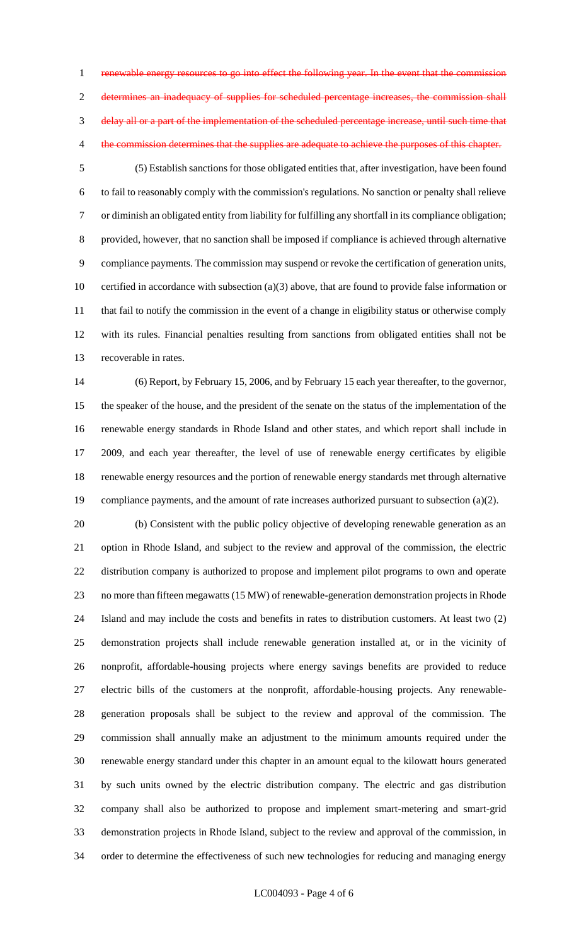1 renewable energy resources to go into effect the following year. In the event that the commission determines an inadequacy of supplies for scheduled percentage increases, the commission shall delay all or a part of the implementation of the scheduled percentage increase, until such time that 4 the commission determines that the supplies are adequate to achieve the purposes of this chapter.

 (5) Establish sanctions for those obligated entities that, after investigation, have been found to fail to reasonably comply with the commission's regulations. No sanction or penalty shall relieve or diminish an obligated entity from liability for fulfilling any shortfall in its compliance obligation; provided, however, that no sanction shall be imposed if compliance is achieved through alternative compliance payments. The commission may suspend or revoke the certification of generation units, certified in accordance with subsection (a)(3) above, that are found to provide false information or 11 that fail to notify the commission in the event of a change in eligibility status or otherwise comply with its rules. Financial penalties resulting from sanctions from obligated entities shall not be recoverable in rates.

 (6) Report, by February 15, 2006, and by February 15 each year thereafter, to the governor, the speaker of the house, and the president of the senate on the status of the implementation of the renewable energy standards in Rhode Island and other states, and which report shall include in 2009, and each year thereafter, the level of use of renewable energy certificates by eligible renewable energy resources and the portion of renewable energy standards met through alternative 19 compliance payments, and the amount of rate increases authorized pursuant to subsection (a)(2).

 (b) Consistent with the public policy objective of developing renewable generation as an option in Rhode Island, and subject to the review and approval of the commission, the electric distribution company is authorized to propose and implement pilot programs to own and operate no more than fifteen megawatts (15 MW) of renewable-generation demonstration projects in Rhode Island and may include the costs and benefits in rates to distribution customers. At least two (2) demonstration projects shall include renewable generation installed at, or in the vicinity of nonprofit, affordable-housing projects where energy savings benefits are provided to reduce electric bills of the customers at the nonprofit, affordable-housing projects. Any renewable- generation proposals shall be subject to the review and approval of the commission. The commission shall annually make an adjustment to the minimum amounts required under the renewable energy standard under this chapter in an amount equal to the kilowatt hours generated by such units owned by the electric distribution company. The electric and gas distribution company shall also be authorized to propose and implement smart-metering and smart-grid demonstration projects in Rhode Island, subject to the review and approval of the commission, in order to determine the effectiveness of such new technologies for reducing and managing energy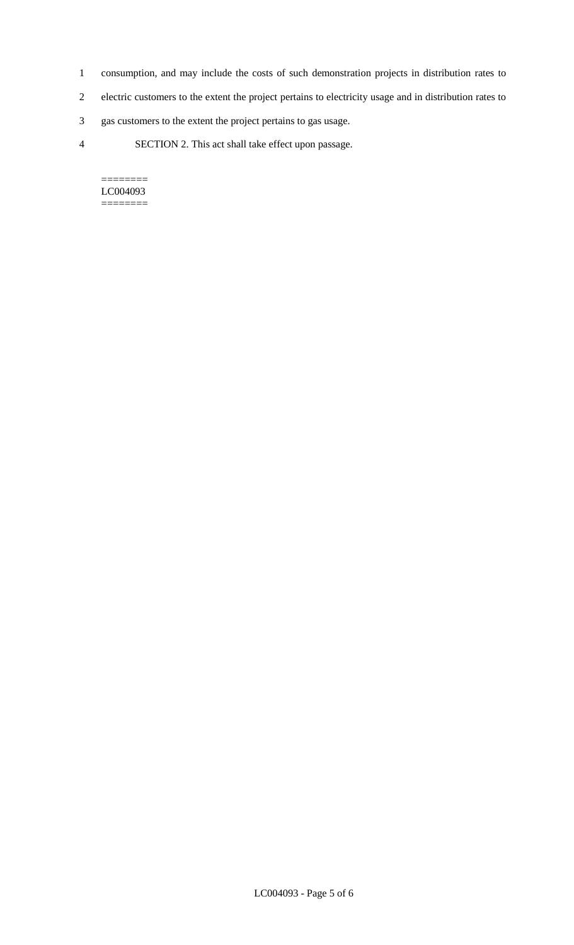- 1 consumption, and may include the costs of such demonstration projects in distribution rates to
- 2 electric customers to the extent the project pertains to electricity usage and in distribution rates to
- 3 gas customers to the extent the project pertains to gas usage.
- 4 SECTION 2. This act shall take effect upon passage.

======== LC004093 ========